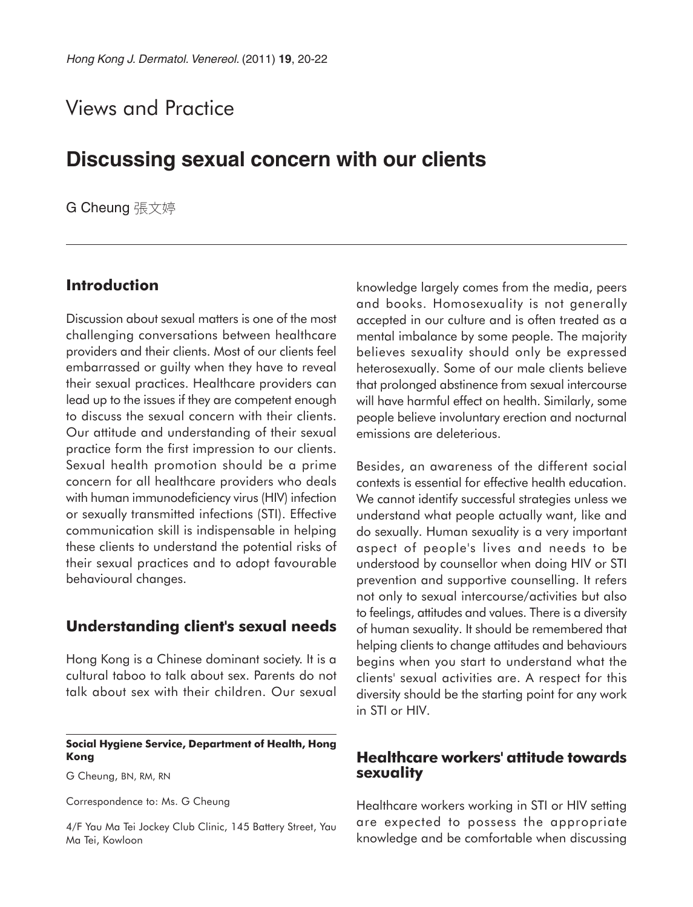# Views and Practice

## **Discussing sexual concern with our clients**

G Cheung 張文婷

## **Introduction**

Discussion about sexual matters is one of the most challenging conversations between healthcare providers and their clients. Most of our clients feel embarrassed or guilty when they have to reveal their sexual practices. Healthcare providers can lead up to the issues if they are competent enough to discuss the sexual concern with their clients. Our attitude and understanding of their sexual practice form the first impression to our clients. Sexual health promotion should be a prime concern for all healthcare providers who deals with human immunodeficiency virus (HIV) infection or sexually transmitted infections (STI). Effective communication skill is indispensable in helping these clients to understand the potential risks of their sexual practices and to adopt favourable behavioural changes.

## **Understanding client's sexual needs**

Hong Kong is a Chinese dominant society. It is a cultural taboo to talk about sex. Parents do not talk about sex with their children. Our sexual

#### **Social Hygiene Service, Department of Health, Hong Kong**

G Cheung, BN, RM, RN

Correspondence to: Ms. G Cheung

4/F Yau Ma Tei Jockey Club Clinic, 145 Battery Street, Yau Ma Tei, Kowloon

knowledge largely comes from the media, peers and books. Homosexuality is not generally accepted in our culture and is often treated as a mental imbalance by some people. The majority believes sexuality should only be expressed heterosexually. Some of our male clients believe that prolonged abstinence from sexual intercourse will have harmful effect on health. Similarly, some people believe involuntary erection and nocturnal emissions are deleterious.

Besides, an awareness of the different social contexts is essential for effective health education. We cannot identify successful strategies unless we understand what people actually want, like and do sexually. Human sexuality is a very important aspect of people's lives and needs to be understood by counsellor when doing HIV or STI prevention and supportive counselling. It refers not only to sexual intercourse/activities but also to feelings, attitudes and values. There is a diversity of human sexuality. It should be remembered that helping clients to change attitudes and behaviours begins when you start to understand what the clients' sexual activities are. A respect for this diversity should be the starting point for any work in STI or HIV.

## **Healthcare workers' attitude towards sexuality**

Healthcare workers working in STI or HIV setting are expected to possess the appropriate knowledge and be comfortable when discussing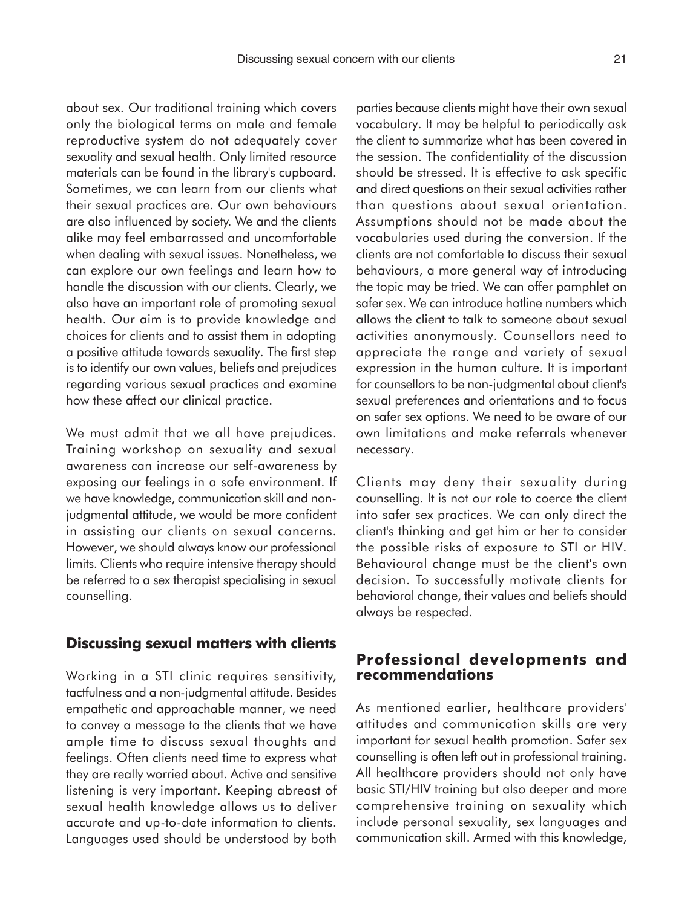about sex. Our traditional training which covers only the biological terms on male and female reproductive system do not adequately cover sexuality and sexual health. Only limited resource materials can be found in the library's cupboard. Sometimes, we can learn from our clients what their sexual practices are. Our own behaviours are also influenced by society. We and the clients alike may feel embarrassed and uncomfortable when dealing with sexual issues. Nonetheless, we can explore our own feelings and learn how to handle the discussion with our clients. Clearly, we also have an important role of promoting sexual health. Our aim is to provide knowledge and choices for clients and to assist them in adopting a positive attitude towards sexuality. The first step is to identify our own values, beliefs and prejudices regarding various sexual practices and examine how these affect our clinical practice.

We must admit that we all have prejudices. Training workshop on sexuality and sexual awareness can increase our self-awareness by exposing our feelings in a safe environment. If we have knowledge, communication skill and nonjudgmental attitude, we would be more confident in assisting our clients on sexual concerns. However, we should always know our professional limits. Clients who require intensive therapy should be referred to a sex therapist specialising in sexual counselling.

#### **Discussing sexual matters with clients**

Working in a STI clinic requires sensitivity, tactfulness and a non-judgmental attitude. Besides empathetic and approachable manner, we need to convey a message to the clients that we have ample time to discuss sexual thoughts and feelings. Often clients need time to express what they are really worried about. Active and sensitive listening is very important. Keeping abreast of sexual health knowledge allows us to deliver accurate and up-to-date information to clients. Languages used should be understood by both parties because clients might have their own sexual vocabulary. It may be helpful to periodically ask the client to summarize what has been covered in the session. The confidentiality of the discussion should be stressed. It is effective to ask specific and direct questions on their sexual activities rather than questions about sexual orientation. Assumptions should not be made about the vocabularies used during the conversion. If the clients are not comfortable to discuss their sexual behaviours, a more general way of introducing the topic may be tried. We can offer pamphlet on safer sex. We can introduce hotline numbers which allows the client to talk to someone about sexual activities anonymously. Counsellors need to appreciate the range and variety of sexual expression in the human culture. It is important for counsellors to be non-judgmental about client's sexual preferences and orientations and to focus on safer sex options. We need to be aware of our own limitations and make referrals whenever necessary.

Clients may deny their sexuality during counselling. It is not our role to coerce the client into safer sex practices. We can only direct the client's thinking and get him or her to consider the possible risks of exposure to STI or HIV. Behavioural change must be the client's own decision. To successfully motivate clients for behavioral change, their values and beliefs should always be respected.

#### **Professional developments and recommendations**

As mentioned earlier, healthcare providers' attitudes and communication skills are very important for sexual health promotion. Safer sex counselling is often left out in professional training. All healthcare providers should not only have basic STI/HIV training but also deeper and more comprehensive training on sexuality which include personal sexuality, sex languages and communication skill. Armed with this knowledge,